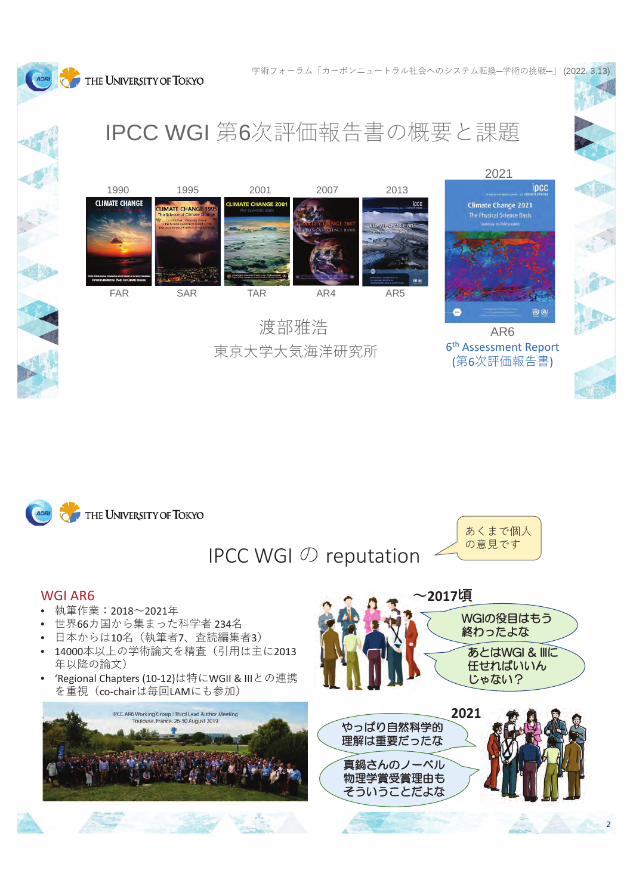THE UNIVERSITY OF TOKYO





東京大学大気海洋研究所

AR6 6th Assessment Report (第6次評価報告書)

2021



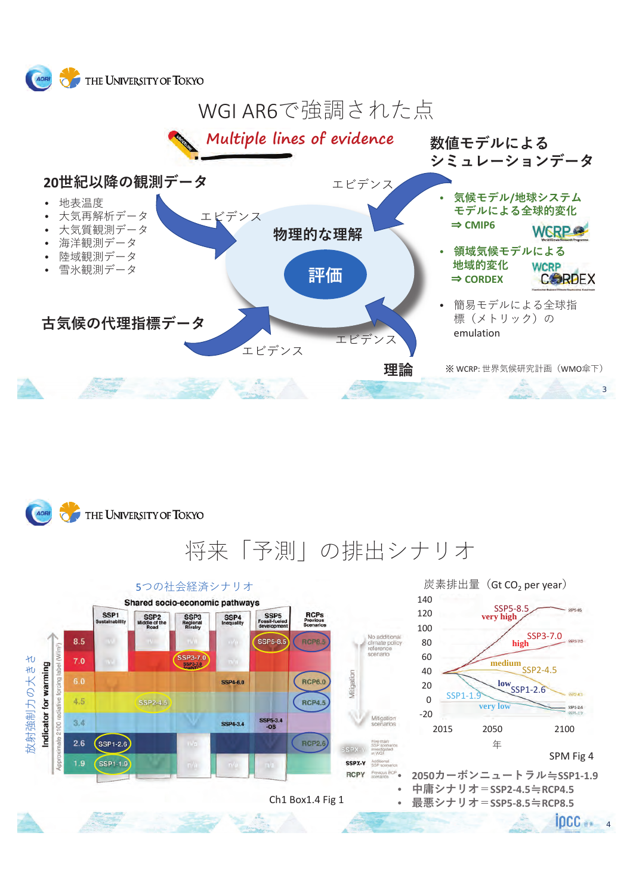



将来「予測」の排出シナリオ

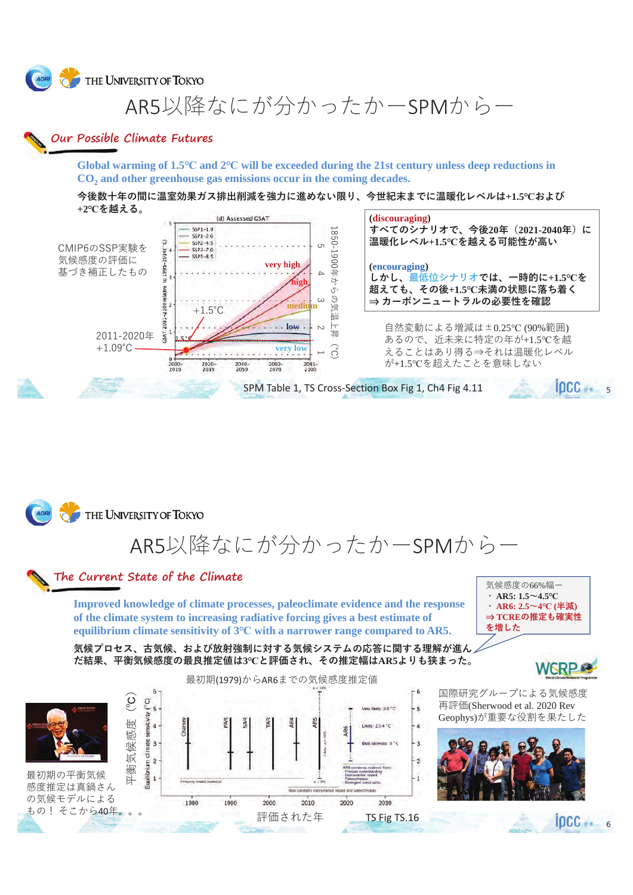**AORI** THE UNIVERSITY OF TOKYO

AR5以降なにが分かったかーSPMからー

### **Our Possible Climate Futures**

**Global warming of 1.5℃ and 2℃ will be exceeded during the 21st century unless deep reductions in CO2 and other greenhouse gas emissions occur in the coming decades.**

今後数十年の間に温室効果ガス排出削減を強力に進めない限り、今世紀末までに温暖化レベルは+1.5℃および **+2℃を越える。** 



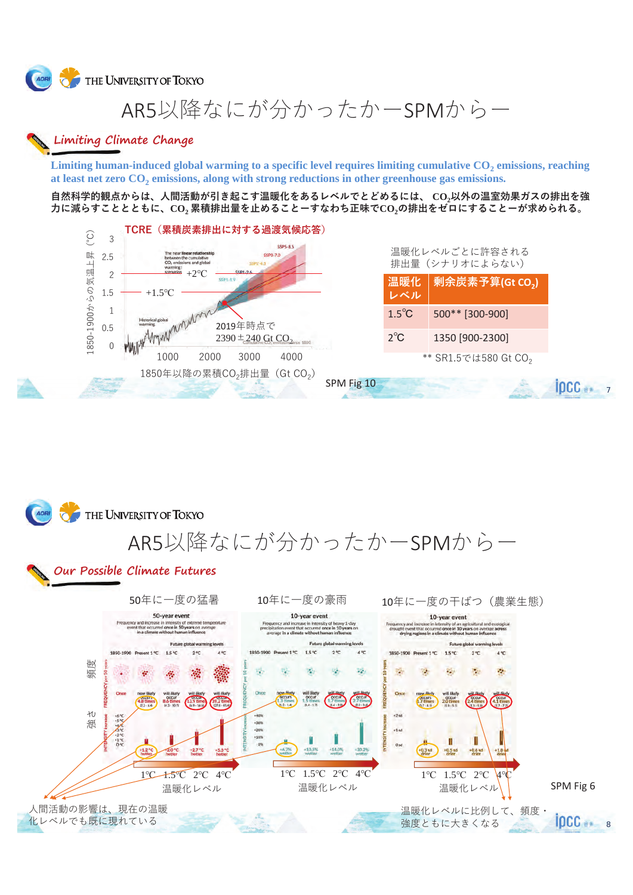**AORI** THE UNIVERSITY OF TOKYO

# AR5以降なにが分かったかーSPMからー

### Limiting Climate Change

Limiting human-induced global warming to a specific level requires limiting cumulative CO<sub>2</sub> emissions, reaching at least net zero CO<sub>2</sub> emissions, along with strong reductions in other greenhouse gas emissions.

自然科学的観点からは、人間活動が引き起こす温暖化をあるレベルでとどめるには、CO<sub>2</sub>以外の温室効果ガスの排出を強 力に減らすこととともに、CO,累積排出量を止めることーすなわち正味でCO,の排出をゼロにすることーが求められる。



|    |                 | 温暖化レベルごとに許容される<br>排出量 (シナリオによらない)<br>  剰余炭素予算(Gt CO <sub>2</sub> )<br>500** [300-900]<br>1350 [900-2300]<br>** SR1.5では580 Gt CO <sub>2</sub> |
|----|-----------------|----------------------------------------------------------------------------------------------------------------------------------------------|
|    | 温暖化<br>レベル      |                                                                                                                                              |
|    | $1.5^{\circ}$ C |                                                                                                                                              |
|    | $2^{\circ}C$    |                                                                                                                                              |
|    |                 |                                                                                                                                              |
| 10 |                 | າດ                                                                                                                                           |

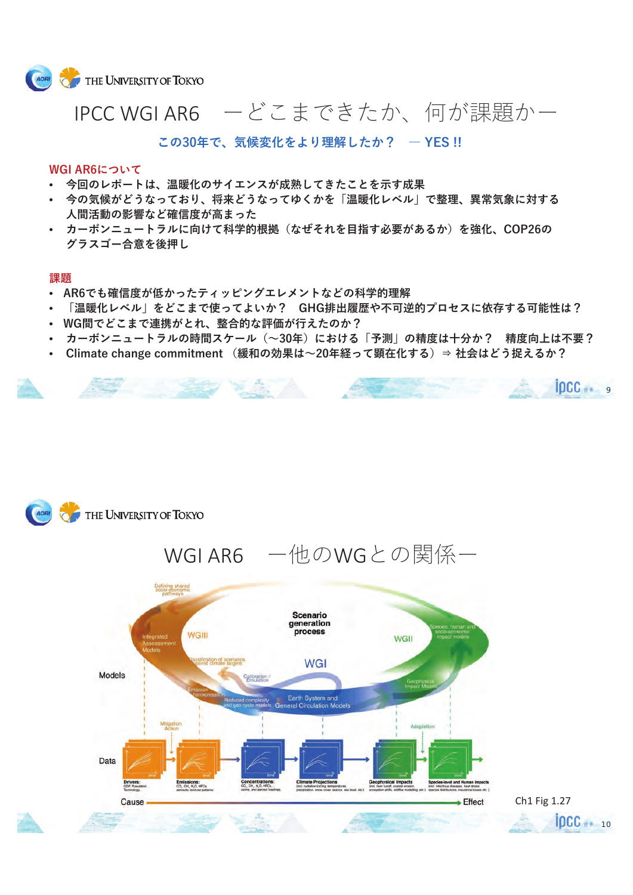

## IPCC WGI AR6 ーどこまできたか、何が課題かー

この30年で、気候変化をより理解したか? - YES!!

#### WGI AR6について

- 今回のレポートは、温暖化のサイエンスが成熟してきたことを示す成果
- 今の気候がどうなっており、将来どうなってゆくかを「温暖化レベル」で整理、異常気象に対する 人間活動の影響など確信度が高まった
- カーボンニュートラルに向けて科学的根拠(なぜそれを目指す必要があるか)を強化、COP26の グラスゴー合意を後押し

#### 課題

- AR6でも確信度が低かったティッピングエレメントなどの科学的理解
- 「温暖化レベル」をどこまで使ってよいか? GHG排出履歴や不可逆的プロセスに依存する可能性は?
- WG間でどこまで連携がとれ、整合的な評価が行えたのか?
- カーボンニュートラルの時間スケール(~30年)における「予測」の精度は十分か? 精度向上は不要?
- Climate change commitment (緩和の効果は~20年経って顕在化する)⇒ 社会はどう捉えるか?